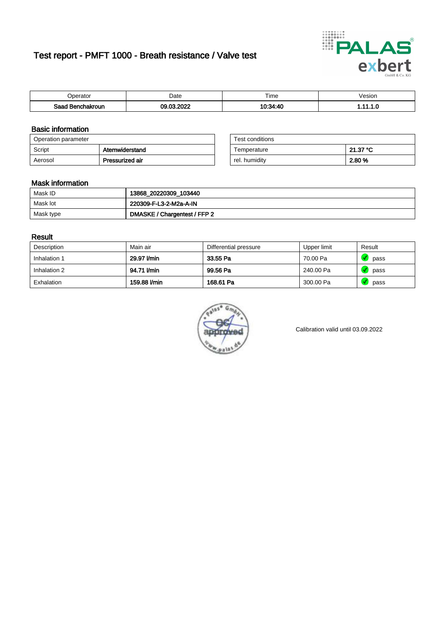# Test report - PMFT 1000 - Breath resistance / Valve test



| <b>'</b> perator                | Date              | $- \cdot$<br><b>Time</b> | /esion |
|---------------------------------|-------------------|--------------------------|--------|
| Saad<br><b>nchakroun</b><br>. . | 000C<br><b>nc</b> | $10.21 - 10$             | .      |

### Basic information

| Operation parameter |                 | Test conditions |          |
|---------------------|-----------------|-----------------|----------|
| Script              | Atemwiderstand  | Temperature     | 21.37 °C |
| Aerosol             | Pressurized air | rel. humidity   | 2.80 %   |

| Test conditions |          |
|-----------------|----------|
| Temperature     | 21.37 °C |
| rel. humidity   | 2.80 %   |

### Mask information

| Mask ID   | 13868_20220309_103440        |
|-----------|------------------------------|
| Mask lot  | 220309-F-L3-2-M2a-A-IN       |
| Mask type | DMASKE / Chargentest / FFP 2 |

### Result

| Description  | Main air     | Differential pressure | Upper limit | Result |
|--------------|--------------|-----------------------|-------------|--------|
| Inhalation 1 | 29.97 l/min  | 33.55 Pa              | 70.00 Pa    | pass   |
| Inhalation 2 | 94.71 I/min  | 99.56 Pa              | 240.00 Pa   | pass   |
| Exhalation   | 159.88 l/min | 168.61 Pa             | 300.00 Pa   | pass   |



Calibration valid until 03.09.2022